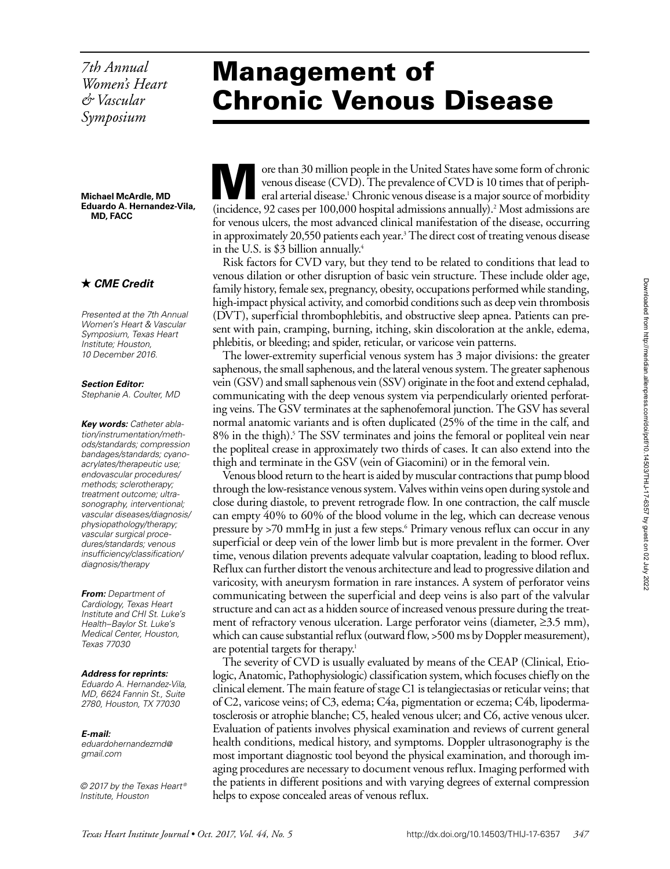*7th Annual Women's Heart & Vascular Symposium*

**Michael McArdle, MD Eduardo A. Hernandez-Vila, MD, FACC**

## *CME Credit*

*Presented at the 7th Annual Women's Heart & Vascular Symposium, Texas Heart Institute; Houston, 10 December 2016.*

*Section Editor:*

*Stephanie A. Coulter, MD*

*Key words: Catheter ablation/instrumentation/methods/standards; compression bandages/standards; cyanoacrylates/therapeutic use; endovascular procedures/ methods; sclerotherapy; treatment outcome; ultrasonography, interventional; vascular diseases/diagnosis/ physiopathology/therapy; vascular surgical procedures/standards; venous insufficiency/classification/ diagnosis/therapy*

*From: Department of Cardiology, Texas Heart Institute and CHI St. Luke's Health–Baylor St. Luke's Medical Center, Houston, Texas 77030*

### *Address for reprints:*

*Eduardo A. Hernandez-Vila, MD, 6624 Fannin St., Suite 2780, Houston, TX 77030*

### *E-mail:*

*eduardohernandezmd@ gmail.com*

*© 2017 by the Texas Heart ® Institute, Houston*

# Management of Chronic Venous Disease

ore than 30 million people in the United States have some form of chronic<br>venous disease (CVD). The prevalence of CVD is 10 times that of periph-<br>eral arterial disease.' Chronic venous disease is a major source of morbidit venous disease (CVD). The prevalence of CVD is 10 times that of peripheral arterial disease.<sup>1</sup> Chronic venous disease is a major source of morbidity (incidence, 92 cases per 100,000 hospital admissions annually).<sup>2</sup> Most admissions are for venous ulcers, the most advanced clinical manifestation of the disease, occurring in approximately 20,550 patients each year.<sup>3</sup> The direct cost of treating venous disease in the U.S. is \$3 billion annually.<sup>4</sup>

Risk factors for CVD vary, but they tend to be related to conditions that lead to venous dilation or other disruption of basic vein structure. These include older age, family history, female sex, pregnancy, obesity, occupations performed while standing, high-impact physical activity, and comorbid conditions such as deep vein thrombosis (DVT), superficial thrombophlebitis, and obstructive sleep apnea. Patients can present with pain, cramping, burning, itching, skin discoloration at the ankle, edema, phlebitis, or bleeding; and spider, reticular, or varicose vein patterns.

The lower-extremity superficial venous system has 3 major divisions: the greater saphenous, the small saphenous, and the lateral venous system. The greater saphenous vein (GSV) and small saphenous vein (SSV) originate in the foot and extend cephalad, communicating with the deep venous system via perpendicularly oriented perforating veins. The GSV terminates at the saphenofemoral junction. The GSV has several normal anatomic variants and is often duplicated (25% of the time in the calf, and 8% in the thigh).<sup>5</sup> The SSV terminates and joins the femoral or popliteal vein near the popliteal crease in approximately two thirds of cases. It can also extend into the thigh and terminate in the GSV (vein of Giacomini) or in the femoral vein.

Venous blood return to the heart is aided by muscular contractions that pump blood through the low-resistance venous system. Valves within veins open during systole and close during diastole, to prevent retrograde flow. In one contraction, the calf muscle can empty 40% to 60% of the blood volume in the leg, which can decrease venous pressure by >70 mmHg in just a few steps.6 Primary venous reflux can occur in any superficial or deep vein of the lower limb but is more prevalent in the former. Over time, venous dilation prevents adequate valvular coaptation, leading to blood reflux. Reflux can further distort the venous architecture and lead to progressive dilation and varicosity, with aneurysm formation in rare instances. A system of perforator veins communicating between the superficial and deep veins is also part of the valvular structure and can act as a hidden source of increased venous pressure during the treatment of refractory venous ulceration. Large perforator veins (diameter, ≥3.5 mm), which can cause substantial reflux (outward flow, >500 ms by Doppler measurement), are potential targets for therapy.<sup>1</sup>

The severity of CVD is usually evaluated by means of the CEAP (Clinical, Etiologic, Anatomic, Pathophysiologic) classification system, which focuses chiefly on the clinical element. The main feature of stage C1 is telangiectasias or reticular veins; that of C2, varicose veins; of C3, edema; C4a, pigmentation or eczema; C4b, lipodermatosclerosis or atrophie blanche; C5, healed venous ulcer; and C6, active venous ulcer. Evaluation of patients involves physical examination and reviews of current general health conditions, medical history, and symptoms. Doppler ultrasonography is the most important diagnostic tool beyond the physical examination, and thorough imaging procedures are necessary to document venous reflux. Imaging performed with the patients in different positions and with varying degrees of external compression helps to expose concealed areas of venous reflux.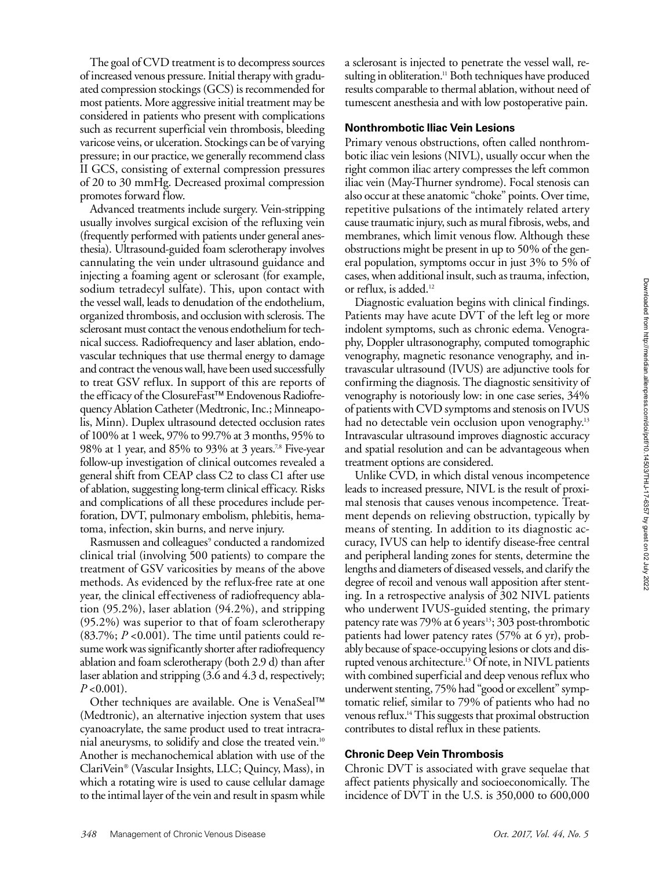The goal of CVD treatment is to decompress sources of increased venous pressure. Initial therapy with graduated compression stockings (GCS) is recommended for most patients. More aggressive initial treatment may be considered in patients who present with complications such as recurrent superficial vein thrombosis, bleeding varicose veins, or ulceration. Stockings can be of varying pressure; in our practice, we generally recommend class II GCS, consisting of external compression pressures of 20 to 30 mmHg. Decreased proximal compression promotes forward flow.

Advanced treatments include surgery. Vein-stripping usually involves surgical excision of the refluxing vein (frequently performed with patients under general anesthesia). Ultrasound-guided foam sclerotherapy involves cannulating the vein under ultrasound guidance and injecting a foaming agent or sclerosant (for example, sodium tetradecyl sulfate). This, upon contact with the vessel wall, leads to denudation of the endothelium, organized thrombosis, and occlusion with sclerosis. The sclerosant must contact the venous endothelium for technical success. Radiofrequency and laser ablation, endovascular techniques that use thermal energy to damage and contract the venous wall, have been used successfully to treat GSV reflux. In support of this are reports of the efficacy of the ClosureFast<sup>™</sup> Endovenous Radiofrequency Ablation Catheter (Medtronic, Inc.; Minneapolis, Minn). Duplex ultrasound detected occlusion rates of 100% at 1 week, 97% to 99.7% at 3 months, 95% to 98% at 1 year, and 85% to 93% at 3 years.7,8 Five-year follow-up investigation of clinical outcomes revealed a general shift from CEAP class C2 to class C1 after use of ablation, suggesting long-term clinical efficacy. Risks and complications of all these procedures include perforation, DVT, pulmonary embolism, phlebitis, hematoma, infection, skin burns, and nerve injury.

Rasmussen and colleagues<sup>9</sup> conducted a randomized clinical trial (involving 500 patients) to compare the treatment of GSV varicosities by means of the above methods. As evidenced by the reflux-free rate at one year, the clinical effectiveness of radiofrequency ablation (95.2%), laser ablation (94.2%), and stripping (95.2%) was superior to that of foam sclerotherapy (83.7%; *P* <0.001). The time until patients could resume work was significantly shorter after radiofrequency ablation and foam sclerotherapy (both 2.9 d) than after laser ablation and stripping (3.6 and 4.3 d, respectively; *P* <0.001).

Other techniques are available. One is VenaSeal™ (Medtronic), an alternative injection system that uses cyanoacrylate, the same product used to treat intracranial aneurysms, to solidify and close the treated vein.<sup>10</sup> Another is mechanochemical ablation with use of the ClariVein (Vascular Insights, LLC; Quincy, Mass), in which a rotating wire is used to cause cellular damage to the intimal layer of the vein and result in spasm while a sclerosant is injected to penetrate the vessel wall, resulting in obliteration.<sup>11</sup> Both techniques have produced results comparable to thermal ablation, without need of tumescent anesthesia and with low postoperative pain.

## **Nonthrombotic Iliac Vein Lesions**

Primary venous obstructions, often called nonthrombotic iliac vein lesions (NIVL), usually occur when the right common iliac artery compresses the left common iliac vein (May-Thurner syndrome). Focal stenosis can also occur at these anatomic "choke" points. Over time, repetitive pulsations of the intimately related artery cause traumatic injury, such as mural fibrosis, webs, and membranes, which limit venous flow. Although these obstructions might be present in up to 50% of the general population, symptoms occur in just 3% to 5% of cases, when additional insult, such as trauma, infection, or reflux, is added.<sup>12</sup>

Diagnostic evaluation begins with clinical findings. Patients may have acute DVT of the left leg or more indolent symptoms, such as chronic edema. Venography, Doppler ultrasonography, computed tomographic venography, magnetic resonance venography, and intravascular ultrasound (IVUS) are adjunctive tools for confirming the diagnosis. The diagnostic sensitivity of venography is notoriously low: in one case series, 34% of patients with CVD symptoms and stenosis on IVUS had no detectable vein occlusion upon venography.<sup>13</sup> Intravascular ultrasound improves diagnostic accuracy and spatial resolution and can be advantageous when treatment options are considered.

Unlike CVD, in which distal venous incompetence leads to increased pressure, NIVL is the result of proximal stenosis that causes venous incompetence. Treatment depends on relieving obstruction, typically by means of stenting. In addition to its diagnostic accuracy, IVUS can help to identify disease-free central and peripheral landing zones for stents, determine the lengths and diameters of diseased vessels, and clarify the degree of recoil and venous wall apposition after stenting. In a retrospective analysis of 302 NIVL patients who underwent IVUS-guided stenting, the primary patency rate was  $79\%$  at 6 years<sup>13</sup>; 303 post-thrombotic patients had lower patency rates (57% at 6 yr), probably because of space-occupying lesions or clots and disrupted venous architecture.<sup>13</sup> Of note, in NIVL patients with combined superficial and deep venous reflux who underwent stenting, 75% had "good or excellent" symptomatic relief, similar to 79% of patients who had no venous reflux.14 This suggests that proximal obstruction contributes to distal reflux in these patients.

### **Chronic Deep Vein Thrombosis**

Chronic DVT is associated with grave sequelae that affect patients physically and socioeconomically. The incidence of DVT in the U.S. is 350,000 to 600,000